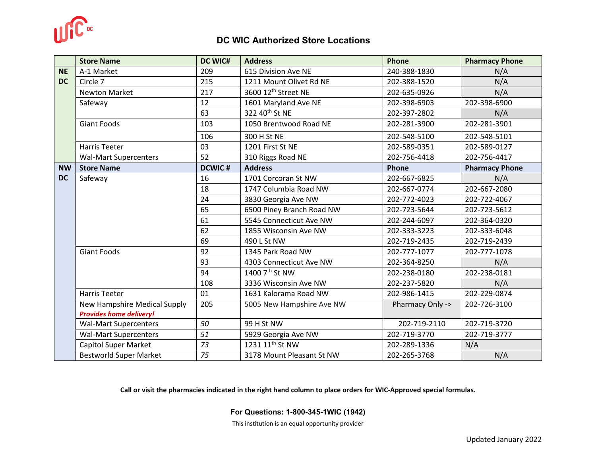

## **DC WIC Authorized Store Locations**

|           | <b>Store Name</b>              | DC WIC#       | <b>Address</b>                  | Phone            | <b>Pharmacy Phone</b> |
|-----------|--------------------------------|---------------|---------------------------------|------------------|-----------------------|
| <b>NE</b> | A-1 Market                     | 209           | 615 Division Ave NE             | 240-388-1830     | N/A                   |
| <b>DC</b> | Circle 7                       | 215           | 1211 Mount Olivet Rd NE         | 202-388-1520     | N/A                   |
|           | <b>Newton Market</b>           | 217           | 3600 12 <sup>th</sup> Street NE | 202-635-0926     | N/A                   |
|           | Safeway                        | 12            | 1601 Maryland Ave NE            | 202-398-6903     | 202-398-6900          |
|           |                                | 63            | 322 40 <sup>th</sup> St NE      | 202-397-2802     | N/A                   |
|           | <b>Giant Foods</b>             | 103           | 1050 Brentwood Road NE          | 202-281-3900     | 202-281-3901          |
|           |                                | 106           | 300 H St NE                     | 202-548-5100     | 202-548-5101          |
|           | <b>Harris Teeter</b>           | 03            | 1201 First St NE                | 202-589-0351     | 202-589-0127          |
|           | <b>Wal-Mart Supercenters</b>   | 52            | 310 Riggs Road NE               | 202-756-4418     | 202-756-4417          |
| <b>NW</b> | <b>Store Name</b>              | <b>DCWIC#</b> | <b>Address</b>                  | Phone            | <b>Pharmacy Phone</b> |
| <b>DC</b> | Safeway                        | 16            | 1701 Corcoran St NW             | 202-667-6825     | N/A                   |
|           |                                | 18            | 1747 Columbia Road NW           | 202-667-0774     | 202-667-2080          |
|           |                                | 24            | 3830 Georgia Ave NW             | 202-772-4023     | 202-722-4067          |
|           |                                | 65            | 6500 Piney Branch Road NW       | 202-723-5644     | 202-723-5612          |
|           |                                | 61            | 5545 Connecticut Ave NW         | 202-244-6097     | 202-364-0320          |
|           |                                | 62            | 1855 Wisconsin Ave NW           | 202-333-3223     | 202-333-6048          |
|           |                                | 69            | 490 L St NW                     | 202-719-2435     | 202-719-2439          |
|           | <b>Giant Foods</b>             | 92            | 1345 Park Road NW               | 202-777-1077     | 202-777-1078          |
|           |                                | 93            | 4303 Connecticut Ave NW         | 202-364-8250     | N/A                   |
|           |                                | 94            | 1400 7 <sup>th</sup> St NW      | 202-238-0180     | 202-238-0181          |
|           |                                | 108           | 3336 Wisconsin Ave NW           | 202-237-5820     | N/A                   |
|           | <b>Harris Teeter</b>           | 01            | 1631 Kalorama Road NW           | 202-986-1415     | 202-229-0874          |
|           | New Hampshire Medical Supply   | 205           | 5005 New Hampshire Ave NW       | Pharmacy Only -> | 202-726-3100          |
|           | <b>Provides home delivery!</b> |               |                                 |                  |                       |
|           | <b>Wal-Mart Supercenters</b>   | 50            | 99 H St NW                      | 202-719-2110     | 202-719-3720          |
|           | <b>Wal-Mart Supercenters</b>   | 51            | 5929 Georgia Ave NW             | 202-719-3770     | 202-719-3777          |
|           | <b>Capitol Super Market</b>    | 73            | 1231 11 <sup>th</sup> St NW     | 202-289-1336     | N/A                   |
|           | <b>Bestworld Super Market</b>  | 75            | 3178 Mount Pleasant St NW       | 202-265-3768     | N/A                   |

**Call or visit the pharmacies indicated in the right hand column to place orders for WIC-Approved special formulas.**

**For Questions: 1-800-345-1WIC (1942)**

This institution is an equal opportunity provider